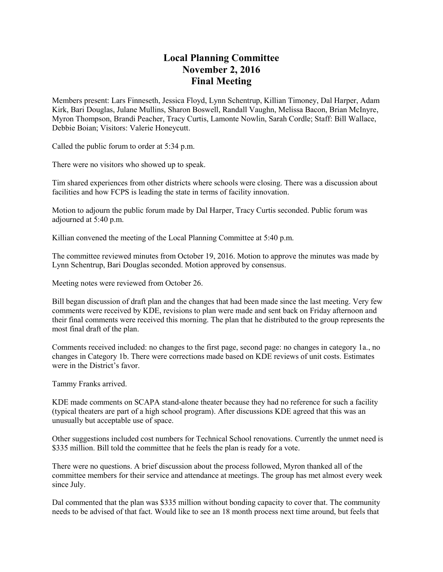## **Local Planning Committee November 2, 2016 Final Meeting**

Members present: Lars Finneseth, Jessica Floyd, Lynn Schentrup, Killian Timoney, Dal Harper, Adam Kirk, Bari Douglas, Julane Mullins, Sharon Boswell, Randall Vaughn, Melissa Bacon, Brian McInyre, Myron Thompson, Brandi Peacher, Tracy Curtis, Lamonte Nowlin, Sarah Cordle; Staff: Bill Wallace, Debbie Boian; Visitors: Valerie Honeycutt.

Called the public forum to order at 5:34 p.m.

There were no visitors who showed up to speak.

Tim shared experiences from other districts where schools were closing. There was a discussion about facilities and how FCPS is leading the state in terms of facility innovation.

Motion to adjourn the public forum made by Dal Harper, Tracy Curtis seconded. Public forum was adjourned at 5:40 p.m.

Killian convened the meeting of the Local Planning Committee at 5:40 p.m.

The committee reviewed minutes from October 19, 2016. Motion to approve the minutes was made by Lynn Schentrup, Bari Douglas seconded. Motion approved by consensus.

Meeting notes were reviewed from October 26.

Bill began discussion of draft plan and the changes that had been made since the last meeting. Very few comments were received by KDE, revisions to plan were made and sent back on Friday afternoon and their final comments were received this morning. The plan that he distributed to the group represents the most final draft of the plan.

Comments received included: no changes to the first page, second page: no changes in category 1a., no changes in Category 1b. There were corrections made based on KDE reviews of unit costs. Estimates were in the District's favor.

Tammy Franks arrived.

KDE made comments on SCAPA stand-alone theater because they had no reference for such a facility (typical theaters are part of a high school program). After discussions KDE agreed that this was an unusually but acceptable use of space.

Other suggestions included cost numbers for Technical School renovations. Currently the unmet need is \$335 million. Bill told the committee that he feels the plan is ready for a vote.

There were no questions. A brief discussion about the process followed, Myron thanked all of the committee members for their service and attendance at meetings. The group has met almost every week since July.

Dal commented that the plan was \$335 million without bonding capacity to cover that. The community needs to be advised of that fact. Would like to see an 18 month process next time around, but feels that